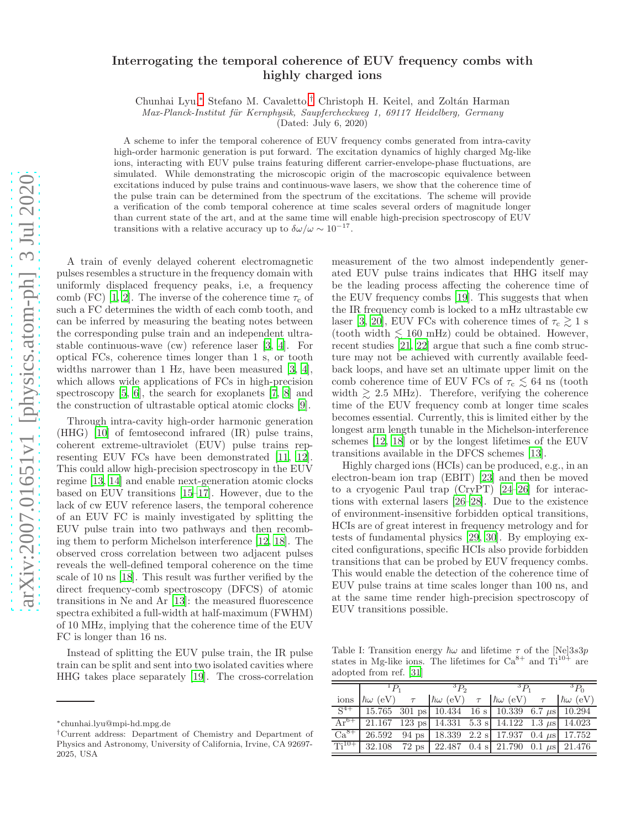## Interrogating the temporal coherence of EUV frequency combs with highly charged ions

Chunhai Lyu,[∗](#page-0-0) Stefano M. Cavaletto,[†](#page-0-1) Christoph H. Keitel, and Zolt´an Harman

*Max-Planck-Institut f¨ur Kernphysik, Saupfercheckweg 1, 69117 Heidelberg, Germany*

(Dated: July 6, 2020)

A scheme to infer the temporal coherence of EUV frequency combs generated from intra-cavity high-order harmonic generation is put forward. The excitation dynamics of highly charged Mg-like ions, interacting with EUV pulse trains featuring different carrier-envelope-phase fluctuations, are simulated. While demonstrating the microscopic origin of the macroscopic equivalence between excitations induced by pulse trains and continuous-wave lasers, we show that the coherence time of the pulse train can be determined from the spectrum of the excitations. The scheme will provide a verification of the comb temporal coherence at time scales several orders of magnitude longer than current state of the art, and at the same time will enable high-precision spectroscopy of EUV transitions with a relative accuracy up to  $\delta\omega/\omega \sim 10^{-17}$ .

A train of evenly delayed coherent electromagnetic pulses resembles a structure in the frequency domain with uniformly displaced frequency peaks, i.e, a frequency comb (FC) [\[1,](#page-3-0) [2](#page-3-1)]. The inverse of the coherence time  $\tau_c$  of such a FC determines the width of each comb tooth, and can be inferred by measuring the beating notes between the corresponding pulse train and an independent ultrastable continuous-wave (cw) reference laser [\[3,](#page-4-0) [4\]](#page-4-1). For optical FCs, coherence times longer than 1 s, or tooth widths narrower than 1 Hz, have been measured [\[3,](#page-4-0) [4\]](#page-4-1), which allows wide applications of FCs in high-precision spectroscopy [\[5,](#page-4-2) [6\]](#page-4-3), the search for exoplanets [\[7,](#page-4-4) [8](#page-4-5)] and the construction of ultrastable optical atomic clocks [\[9\]](#page-4-6).

Through intra-cavity high-order harmonic generation (HHG) [\[10](#page-4-7)] of femtosecond infrared (IR) pulse trains, coherent extreme-ultraviolet (EUV) pulse trains representing EUV FCs have been demonstrated [\[11,](#page-4-8) [12\]](#page-4-9). This could allow high-precision spectroscopy in the EUV regime [\[13,](#page-4-10) [14](#page-4-11)] and enable next-generation atomic clocks based on EUV transitions [\[15](#page-4-12)[–17](#page-4-13)]. However, due to the lack of cw EUV reference lasers, the temporal coherence of an EUV FC is mainly investigated by splitting the EUV pulse train into two pathways and then recombing them to perform Michelson interference [\[12,](#page-4-9) [18](#page-4-14)]. The observed cross correlation between two adjacent pulses reveals the well-defined temporal coherence on the time scale of 10 ns [\[18](#page-4-14)]. This result was further verified by the direct frequency-comb spectroscopy (DFCS) of atomic transitions in Ne and Ar [\[13\]](#page-4-10): the measured fluorescence spectra exhibited a full-width at half-maximum (FWHM) of 10 MHz, implying that the coherence time of the EUV FC is longer than 16 ns.

Instead of splitting the EUV pulse train, the IR pulse train can be split and sent into two isolated cavities where HHG takes place separately [\[19\]](#page-4-15). The cross-correlation

measurement of the two almost independently generated EUV pulse trains indicates that HHG itself may be the leading process affecting the coherence time of the EUV frequency combs [\[19\]](#page-4-15). This suggests that when the IR frequency comb is locked to a mHz ultrastable cw laser [\[3](#page-4-0), [20\]](#page-4-16), EUV FCs with coherence times of  $\tau_c \geq 1$  s (tooth width  $\leq 160$  mHz) could be obtained. However, recent studies [\[21](#page-4-17), [22](#page-4-18)] argue that such a fine comb structure may not be achieved with currently available feedback loops, and have set an ultimate upper limit on the comb coherence time of EUV FCs of  $\tau_c \lesssim 64$  ns (tooth width  $\geq 2.5$  MHz). Therefore, verifying the coherence time of the EUV frequency comb at longer time scales becomes essential. Currently, this is limited either by the longest arm length tunable in the Michelson-interference schemes [\[12](#page-4-9), [18\]](#page-4-14) or by the longest lifetimes of the EUV transitions available in the DFCS schemes [\[13\]](#page-4-10).

Highly charged ions (HCIs) can be produced, e.g., in an electron-beam ion trap (EBIT) [\[23](#page-4-19)] and then be moved to a cryogenic Paul trap (CryPT) [\[24](#page-4-20)[–26\]](#page-4-21) for interactions with external lasers [\[26](#page-4-21)[–28\]](#page-4-22). Due to the existence of environment-insensitive forbidden optical transitions, HCIs are of great interest in frequency metrology and for tests of fundamental physics [\[29,](#page-4-23) [30](#page-4-24)]. By employing excited configurations, specific HCIs also provide forbidden transitions that can be probed by EUV frequency combs. This would enable the detection of the coherence time of EUV pulse trains at time scales longer than 100 ns, and at the same time render high-precision spectroscopy of EUV transitions possible.

<span id="page-0-2"></span>Table I: Transition energy  $\hbar\omega$  and lifetime  $\tau$  of the [Ne]3s3p states in Mg-like ions. The lifetimes for  $Ca^{8+}$  and  $Ti^{10+}$  are adopted from ref. [\[31](#page-4-25)]

| $^{\perp}P_{1}$ |  | $^3P_2$                                                                            |  | ${}^3P_1$ |  | $\overline{^3P_0}$ |
|-----------------|--|------------------------------------------------------------------------------------|--|-----------|--|--------------------|
|                 |  | ions $\hbar\omega$ (eV) $\tau$ $\hbar\omega$ (eV) $\tau$ $\hbar\omega$ (eV) $\tau$ |  |           |  | $\hbar\omega$ (eV) |
|                 |  | $S^{4+}$ 15.765 301 ps 10.434 16 s 10.339 6.7 $\mu$ s 10.294                       |  |           |  |                    |
|                 |  | $\overline{Ar^{6+}$   21.167 123 ps   14.331 5.3 s   14.122 1.3 $\mu$ s   14.023   |  |           |  |                    |
|                 |  | $Ca^{8+}$ 26.592 94 ps 18.339 2.2 s 17.937 0.4 $\mu$ s 17.752                      |  |           |  |                    |
|                 |  | $Ti^{10+}$ 32.108 72 ps 22.487 0.4 s 21.790 0.1 $\mu$ s 21.476                     |  |           |  |                    |

<span id="page-0-0"></span><sup>∗</sup>chunhai.lyu@mpi-hd.mpg.de

<span id="page-0-1"></span><sup>†</sup>Current address: Department of Chemistry and Department of Physics and Astronomy, University of California, Irvine, CA 92697- 2025, USA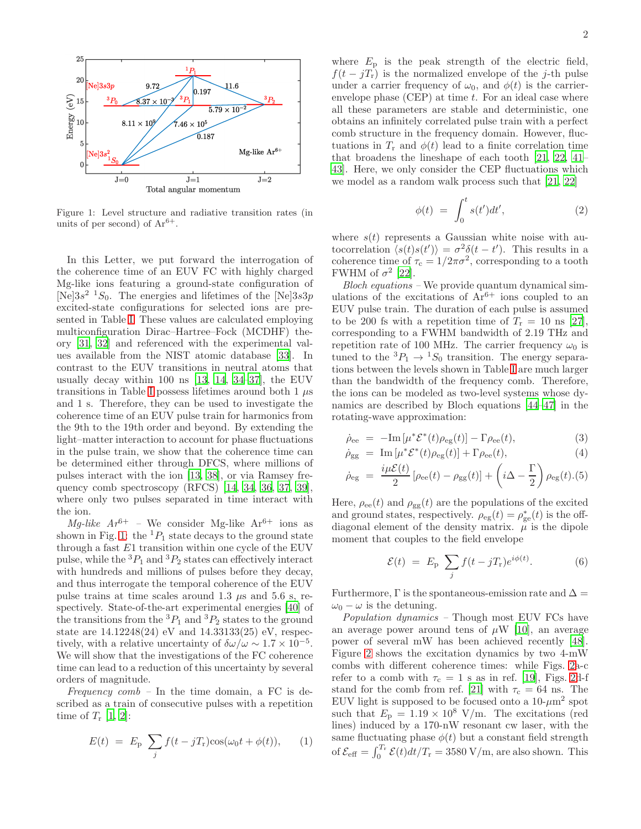

<span id="page-1-0"></span>Figure 1: Level structure and radiative transition rates (in units of per second) of  $Ar^{6+}$ .

In this Letter, we put forward the interrogation of the coherence time of an EUV FC with highly charged Mg-like ions featuring a ground-state configuration of [Ne] $3s^2$  <sup>1</sup>S<sub>0</sub>. The energies and lifetimes of the [Ne] $3s3p$ excited-state configurations for selected ions are presented in Table [I.](#page-0-2) These values are calculated employing multiconfiguration Dirac–Hartree–Fock (MCDHF) theory [\[31,](#page-4-25) [32\]](#page-4-26) and referenced with the experimental values available from the NIST atomic database [\[33](#page-4-27)]. In contrast to the EUV transitions in neutral atoms that usually decay within 100 ns [\[13,](#page-4-10) [14,](#page-4-11) [34](#page-4-28)[–37](#page-4-29)], the EUV transitions in Table [I](#page-0-2) possess lifetimes around both 1  $\mu$ s and 1 s. Therefore, they can be used to investigate the coherence time of an EUV pulse train for harmonics from the 9th to the 19th order and beyond. By extending the light–matter interaction to account for phase fluctuations in the pulse train, we show that the coherence time can be determined either through DFCS, where millions of pulses interact with the ion [\[13,](#page-4-10) [38\]](#page-4-30), or via Ramsey frequency comb spectroscopy (RFCS) [\[14,](#page-4-11) [34,](#page-4-28) [36,](#page-4-31) [37,](#page-4-29) [39\]](#page-4-32), where only two pulses separated in time interact with the ion.

Mg-like  $Ar^{6+}$  – We consider Mg-like  $Ar^{6+}$  ions as shown in Fig. [1:](#page-1-0) the  ${}^{1}P_1$  state decays to the ground state through a fast  $E1$  transition within one cycle of the EUV pulse, while the  ${}^{3}P_1$  and  ${}^{3}P_2$  states can effectively interact with hundreds and millions of pulses before they decay, and thus interrogate the temporal coherence of the EUV pulse trains at time scales around 1.3  $\mu$ s and 5.6 s, respectively. State-of-the-art experimental energies [\[40\]](#page-4-33) of the transitions from the  ${}^{3}P_1$  and  ${}^{3}P_2$  states to the ground state are 14.12248(24) eV and 14.33133(25) eV, respectively, with a relative uncertainty of  $\delta\omega/\omega \sim 1.7 \times 10^{-5}$ . We will show that the investigations of the FC coherence time can lead to a reduction of this uncertainty by several orders of magnitude.

Frequency  $comb$  – In the time domain, a FC is described as a train of consecutive pulses with a repetition time of  $T_r$  [\[1,](#page-3-0) [2\]](#page-3-1):

$$
E(t) = Ep \sum_{j} f(t - jTr) \cos(\omega_0 t + \phi(t)), \qquad (1)
$$

where  $E_p$  is the peak strength of the electric field,  $f(t - jT_r)$  is the normalized envelope of the j-th pulse under a carrier frequency of  $\omega_0$ , and  $\phi(t)$  is the carrierenvelope phase  $(CEP)$  at time  $t$ . For an ideal case where all these parameters are stable and deterministic, one obtains an infinitely correlated pulse train with a perfect comb structure in the frequency domain. However, fluctuations in  $T_r$  and  $\phi(t)$  lead to a finite correlation time that broadens the lineshape of each tooth [\[21,](#page-4-17) [22,](#page-4-18) [41](#page-4-34)– [43](#page-4-35)]. Here, we only consider the CEP fluctuations which we model as a random walk process such that [\[21](#page-4-17), [22](#page-4-18)]

$$
\phi(t) = \int_0^t s(t')dt', \tag{2}
$$

where  $s(t)$  represents a Gaussian white noise with autocorrelation  $\langle s(t)s(t') \rangle = \sigma^2 \delta(t-t')$ . This results in a coherence time of  $\tau_c = 1/2\pi\sigma^2$ , corresponding to a tooth FWHM of  $\sigma^2$  [\[22\]](#page-4-18).

Bloch equations – We provide quantum dynamical simulations of the excitations of  $Ar^{6+}$  ions coupled to an EUV pulse train. The duration of each pulse is assumed to be 200 fs with a repetition time of  $T_r = 10$  ns [\[27\]](#page-4-36), corresponding to a FWHM bandwidth of 2.19 THz and repetition rate of 100 MHz. The carrier frequency  $\omega_0$  is tuned to the  ${}^3P_1 \rightarrow {}^1S_0$  transition. The energy separations between the levels shown in Table [I](#page-0-2) are much larger than the bandwidth of the frequency comb. Therefore, the ions can be modeled as two-level systems whose dynamics are described by Bloch equations [\[44](#page-4-37)[–47](#page-4-38)] in the rotating-wave approximation:

$$
\dot{\rho}_{ee} = -\text{Im}\left[\mu^* \mathcal{E}^*(t)\rho_{eg}(t)\right] - \Gamma \rho_{ee}(t), \tag{3}
$$

$$
\dot{\rho}_{gg} = \operatorname{Im} \left[ \mu^* \mathcal{E}^*(t) \rho_{eg}(t) \right] + \Gamma \rho_{ee}(t), \tag{4}
$$

$$
\dot{\rho}_{eg} = \frac{i\mu\mathcal{E}(t)}{2} [\rho_{ee}(t) - \rho_{gg}(t)] + \left(i\Delta - \frac{\Gamma}{2}\right) \rho_{eg}(t). (5)
$$

Here,  $\rho_{ee}(t)$  and  $\rho_{gg}(t)$  are the populations of the excited and ground states, respectively.  $\rho_{eg}(t) = \rho_{ge}^*(t)$  is the offdiagonal element of the density matrix.  $\mu$  is the dipole moment that couples to the field envelope

$$
\mathcal{E}(t) = E_{\rm p} \sum_{j} f(t - jT_{\rm r}) e^{i\phi(t)}.
$$
 (6)

Furthermore,  $\Gamma$  is the spontaneous-emission rate and  $\Delta =$  $\omega_0 - \omega$  is the detuning.

Population dynamics – Though most EUV FCs have an average power around tens of  $\mu$ W [\[10\]](#page-4-7), an average power of several mW has been achieved recently [\[48\]](#page-4-39). Figure [2](#page-2-0) shows the excitation dynamics by two 4-mW combs with different coherence times: while Figs. [2a](#page-2-0)-c refer to a comb with  $\tau_c = 1$  s as in ref. [\[19](#page-4-15)], Figs. [2d](#page-2-0)-f stand for the comb from ref. [\[21\]](#page-4-17) with  $\tau_c = 64$  ns. The EUV light is supposed to be focused onto a  $10-\mu m^2$  spot such that  $E_p = 1.19 \times 10^8$  V/m. The excitations (red lines) induced by a 170-nW resonant cw laser, with the same fluctuating phase  $\phi(t)$  but a constant field strength of  $\mathcal{E}_{\text{eff}} = \int_0^{T_r} \mathcal{E}(t) dt / T_r = 3580 \text{ V/m}$ , are also shown. This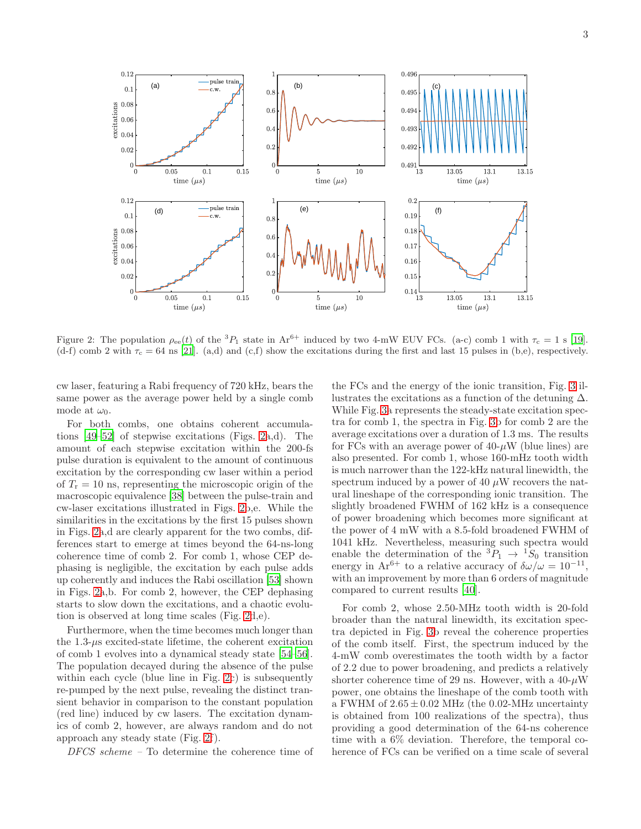

<span id="page-2-0"></span>Figure 2: The population  $\rho_{ee}(t)$  of the  ${}^{3}P_1$  state in  $Ar^{6+}$  induced by two 4-mW EUV FCs. (a-c) comb 1 with  $\tau_c = 1$  s [\[19\]](#page-4-15). (d-f) comb 2 with  $\tau_c = 64$  ns [\[21](#page-4-17)]. (a,d) and (c,f) show the excitations during the first and last 15 pulses in (b,e), respectively.

cw laser, featuring a Rabi frequency of 720 kHz, bears the same power as the average power held by a single comb mode at  $\omega_0$ .

For both combs, one obtains coherent accumulations [\[49](#page-4-40)[–52\]](#page-4-41) of stepwise excitations (Figs. [2a](#page-2-0),d). The amount of each stepwise excitation within the 200-fs pulse duration is equivalent to the amount of continuous excitation by the corresponding cw laser within a period of  $T_r = 10$  ns, representing the microscopic origin of the macroscopic equivalence [\[38\]](#page-4-30) between the pulse-train and cw-laser excitations illustrated in Figs. [2b](#page-2-0),e. While the similarities in the excitations by the first 15 pulses shown in Figs. [2a](#page-2-0),d are clearly apparent for the two combs, differences start to emerge at times beyond the 64-ns-long coherence time of comb 2. For comb 1, whose CEP dephasing is negligible, the excitation by each pulse adds up coherently and induces the Rabi oscillation [\[53\]](#page-4-42) shown in Figs. [2a](#page-2-0),b. For comb 2, however, the CEP dephasing starts to slow down the excitations, and a chaotic evolution is observed at long time scales (Fig. [2d](#page-2-0),e).

Furthermore, when the time becomes much longer than the  $1.3-\mu s$  excited-state lifetime, the coherent excitation of comb 1 evolves into a dynamical steady state [\[54](#page-4-43)[–56\]](#page-4-44). The population decayed during the absence of the pulse within each cycle (blue line in Fig. [2c](#page-2-0)) is subsequently re-pumped by the next pulse, revealing the distinct transient behavior in comparison to the constant population (red line) induced by cw lasers. The excitation dynamics of comb 2, however, are always random and do not approach any steady state (Fig. [2f](#page-2-0)).

DFCS scheme – To determine the coherence time of

the FCs and the energy of the ionic transition, Fig. [3](#page-3-2) illustrates the excitations as a function of the detuning  $\Delta$ . While Fig. [3a](#page-3-2) represents the steady-state excitation spectra for comb 1, the spectra in Fig. [3b](#page-3-2) for comb 2 are the average excitations over a duration of 1.3 ms. The results for FCs with an average power of  $40-\mu$ W (blue lines) are also presented. For comb 1, whose 160-mHz tooth width is much narrower than the 122-kHz natural linewidth, the spectrum induced by a power of 40  $\mu$ W recovers the natural lineshape of the corresponding ionic transition. The slightly broadened FWHM of 162 kHz is a consequence of power broadening which becomes more significant at the power of 4 mW with a 8.5-fold broadened FWHM of 1041 kHz. Nevertheless, measuring such spectra would enable the determination of the  ${}^{3}P_1 \rightarrow {}^{1}S_0$  transition energy in  $Ar^{6+}$  to a relative accuracy of  $\delta\omega/\omega = 10^{-11}$ , with an improvement by more than 6 orders of magnitude compared to current results [\[40\]](#page-4-33).

For comb 2, whose 2.50-MHz tooth width is 20-fold broader than the natural linewidth, its excitation spectra depicted in Fig. [3b](#page-3-2) reveal the coherence properties of the comb itself. First, the spectrum induced by the 4-mW comb overestimates the tooth width by a factor of 2.2 due to power broadening, and predicts a relatively shorter coherence time of 29 ns. However, with a  $40-\mu$ W power, one obtains the lineshape of the comb tooth with a FWHM of  $2.65 \pm 0.02$  MHz (the 0.02-MHz uncertainty is obtained from 100 realizations of the spectra), thus providing a good determination of the 64-ns coherence time with a 6% deviation. Therefore, the temporal coherence of FCs can be verified on a time scale of several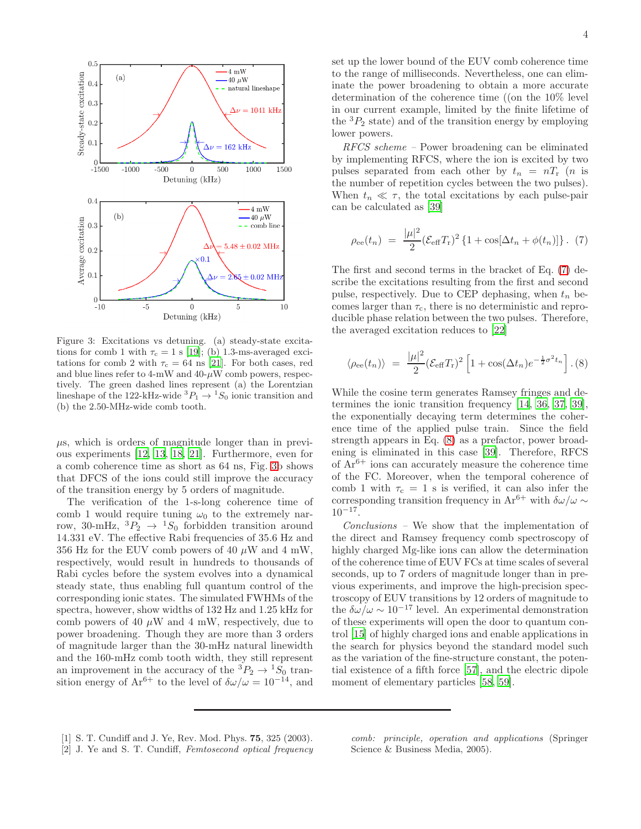

<span id="page-3-2"></span>Figure 3: Excitations vs detuning. (a) steady-state excitations for comb 1 with  $\tau_c = 1$  s [\[19](#page-4-15)]; (b) 1.3-ms-averaged excitations for comb 2 with  $\tau_c = 64$  ns [\[21](#page-4-17)]. For both cases, red and blue lines refer to  $4\text{-mW}$  and  $40\text{-}\mu\text{W}$  comb powers, respectively. The green dashed lines represent (a) the Lorentzian lineshape of the 122-kHz-wide  ${}^3P_1 \rightarrow {}^1S_0$  ionic transition and (b) the 2.50-MHz-wide comb tooth.

 $\mu$ s, which is orders of magnitude longer than in previous experiments [\[12](#page-4-9), [13,](#page-4-10) [18,](#page-4-14) [21](#page-4-17)]. Furthermore, even for a comb coherence time as short as 64 ns, Fig. [3b](#page-3-2) shows that DFCS of the ions could still improve the accuracy of the transition energy by 5 orders of magnitude.

The verification of the 1-s-long coherence time of comb 1 would require tuning  $\omega_0$  to the extremely narrow, 30-mHz,  ${}^3P_2 \rightarrow {}^1S_0$  forbidden transition around 14.331 eV. The effective Rabi frequencies of 35.6 Hz and 356 Hz for the EUV comb powers of 40  $\mu$ W and 4 mW, respectively, would result in hundreds to thousands of Rabi cycles before the system evolves into a dynamical steady state, thus enabling full quantum control of the corresponding ionic states. The simulated FWHMs of the spectra, however, show widths of 132 Hz and 1.25 kHz for comb powers of 40  $\mu$ W and 4 mW, respectively, due to power broadening. Though they are more than 3 orders of magnitude larger than the 30-mHz natural linewidth and the 160-mHz comb tooth width, they still represent an improvement in the accuracy of the  ${}^3P_2 \rightarrow {}^1S_0$  transition energy of  $Ar^{6+}$  to the level of  $\delta\omega/\omega = 10^{-14}$ , and

set up the lower bound of the EUV comb coherence time to the range of milliseconds. Nevertheless, one can eliminate the power broadening to obtain a more accurate determination of the coherence time ((on the 10% level in our current example, limited by the finite lifetime of the  ${}^{3}P_{2}$  state) and of the transition energy by employing lower powers.

RFCS scheme – Power broadening can be eliminated by implementing RFCS, where the ion is excited by two pulses separated from each other by  $t_n = nT_r$  (*n* is the number of repetition cycles between the two pulses). When  $t_n \ll \tau$ , the total excitations by each pulse-pair can be calculated as [\[39\]](#page-4-32)

<span id="page-3-3"></span>
$$
\rho_{ee}(t_n) = \frac{|\mu|^2}{2} (\mathcal{E}_{eff} T_r)^2 \{ 1 + \cos[\Delta t_n + \phi(t_n)] \} .
$$
 (7)

The first and second terms in the bracket of Eq. [\(7\)](#page-3-3) describe the excitations resulting from the first and second pulse, respectively. Due to CEP dephasing, when  $t_n$  becomes larger than  $\tau_c$ , there is no deterministic and reproducible phase relation between the two pulses. Therefore, the averaged excitation reduces to [\[22](#page-4-18)]

<span id="page-3-4"></span>
$$
\langle \rho_{ee}(t_n) \rangle = \frac{|\mu|^2}{2} (\mathcal{E}_{\text{eff}} T_r)^2 \left[ 1 + \cos(\Delta t_n) e^{-\frac{1}{2}\sigma^2 t_n} \right]. (8)
$$

While the cosine term generates Ramsey fringes and determines the ionic transition frequency [\[14,](#page-4-11) [36,](#page-4-31) [37,](#page-4-29) [39\]](#page-4-32), the exponentially decaying term determines the coherence time of the applied pulse train. Since the field strength appears in Eq. [\(8\)](#page-3-4) as a prefactor, power broadening is eliminated in this case [\[39\]](#page-4-32). Therefore, RFCS of  $Ar^{6+}$  ions can accurately measure the coherence time of the FC. Moreover, when the temporal coherence of comb 1 with  $\tau_c = 1$  s is verified, it can also infer the corresponding transition frequency in Ar<sup>6+</sup> with  $\delta\omega/\omega$  ∼  $10^{-17}$ .

Conclusions – We show that the implementation of the direct and Ramsey frequency comb spectroscopy of highly charged Mg-like ions can allow the determination of the coherence time of EUV FCs at time scales of several seconds, up to 7 orders of magnitude longer than in previous experiments, and improve the high-precision spectroscopy of EUV transitions by 12 orders of magnitude to the  $\delta\omega/\omega \sim 10^{-17}$  level. An experimental demonstration of these experiments will open the door to quantum control [\[15\]](#page-4-12) of highly charged ions and enable applications in the search for physics beyond the standard model such as the variation of the fine-structure constant, the potential existence of a fifth force [\[57\]](#page-5-0), and the electric dipole moment of elementary particles [\[58,](#page-5-1) [59\]](#page-5-2).

- <span id="page-3-0"></span>[1] S. T. Cundiff and J. Ye, Rev. Mod. Phys. 75, 325 (2003).
- *comb: principle, operation and applications* (Springer Science & Business Media, 2005).
- <span id="page-3-1"></span>[2] J. Ye and S. T. Cundiff, *Femtosecond optical frequency*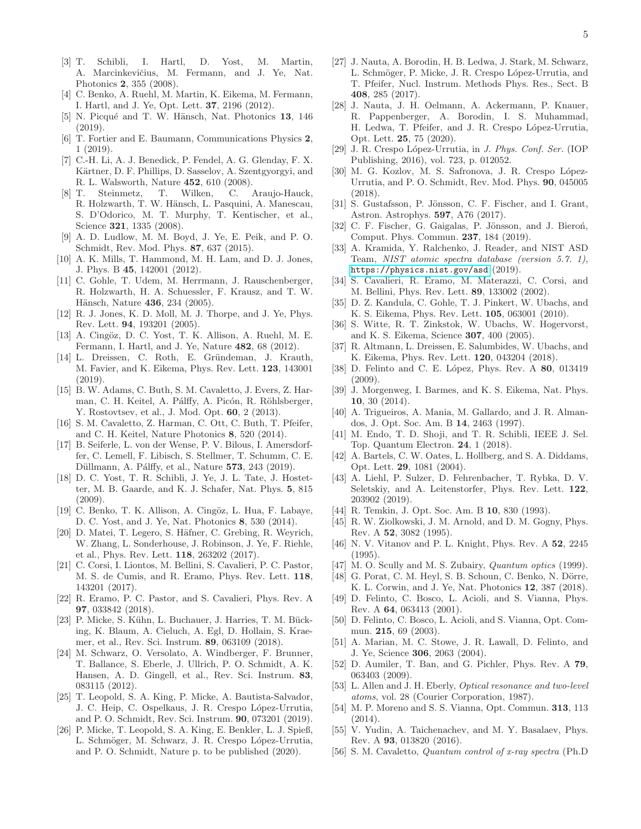- <span id="page-4-0"></span>[3] T. Schibli, I. Hartl, D. Yost, M. Martin, A. Marcinkevičius, M. Fermann, and J. Ye, Nat. Photonics 2, 355 (2008).
- <span id="page-4-1"></span>[4] C. Benko, A. Ruehl, M. Martin, K. Eikema, M. Fermann, I. Hartl, and J. Ye, Opt. Lett. 37, 2196 (2012).
- <span id="page-4-2"></span>[5] N. Picqué and T. W. Hänsch, Nat. Photonics 13, 146 (2019).
- <span id="page-4-3"></span>[6] T. Fortier and E. Baumann, Communications Physics 2, 1 (2019).
- <span id="page-4-4"></span>[7] C.-H. Li, A. J. Benedick, P. Fendel, A. G. Glenday, F. X. Kärtner, D. F. Phillips, D. Sasselov, A. Szentgyorgyi, and R. L. Walsworth, Nature 452, 610 (2008).
- <span id="page-4-5"></span>[8] T. Steinmetz, T. Wilken, C. Araujo-Hauck, R. Holzwarth, T. W. Hänsch, L. Pasquini, A. Manescau, S. D'Odorico, M. T. Murphy, T. Kentischer, et al., Science 321, 1335 (2008).
- <span id="page-4-6"></span>[9] A. D. Ludlow, M. M. Boyd, J. Ye, E. Peik, and P. O. Schmidt, Rev. Mod. Phys. 87, 637 (2015).
- <span id="page-4-7"></span>[10] A. K. Mills, T. Hammond, M. H. Lam, and D. J. Jones, J. Phys. B 45, 142001 (2012).
- <span id="page-4-8"></span>[11] C. Gohle, T. Udem, M. Herrmann, J. Rauschenberger, R. Holzwarth, H. A. Schuessler, F. Krausz, and T. W. Hänsch, Nature 436, 234 (2005).
- <span id="page-4-9"></span>[12] R. J. Jones, K. D. Moll, M. J. Thorpe, and J. Ye, Phys. Rev. Lett. 94, 193201 (2005).
- <span id="page-4-10"></span>[13] A. Cingöz, D. C. Yost, T. K. Allison, A. Ruehl, M. E. Fermann, I. Hartl, and J. Ye, Nature 482, 68 (2012).
- <span id="page-4-11"></span>[14] L. Dreissen, C. Roth, E. Gründeman, J. Krauth, M. Favier, and K. Eikema, Phys. Rev. Lett. 123, 143001 (2019).
- <span id="page-4-12"></span>[15] B. W. Adams, C. Buth, S. M. Cavaletto, J. Evers, Z. Harman, C. H. Keitel, A. Pálffy, A. Picón, R. Röhlsberger, Y. Rostovtsev, et al., J. Mod. Opt. 60, 2 (2013).
- [16] S. M. Cavaletto, Z. Harman, C. Ott, C. Buth, T. Pfeifer, and C. H. Keitel, Nature Photonics 8, 520 (2014).
- <span id="page-4-13"></span>[17] B. Seiferle, L. von der Wense, P. V. Bilous, I. Amersdorffer, C. Lemell, F. Libisch, S. Stellmer, T. Schumm, C. E. Düllmann, A. Pálffy, et al., Nature **573**, 243 (2019).
- <span id="page-4-14"></span>[18] D. C. Yost, T. R. Schibli, J. Ye, J. L. Tate, J. Hostetter, M. B. Gaarde, and K. J. Schafer, Nat. Phys. 5, 815 (2009).
- <span id="page-4-15"></span>[19] C. Benko, T. K. Allison, A. Cingöz, L. Hua, F. Labaye, D. C. Yost, and J. Ye, Nat. Photonics 8, 530 (2014).
- <span id="page-4-16"></span>[20] D. Matei, T. Legero, S. Häfner, C. Grebing, R. Weyrich, W. Zhang, L. Sonderhouse, J. Robinson, J. Ye, F. Riehle, et al., Phys. Rev. Lett. 118, 263202 (2017).
- <span id="page-4-17"></span>[21] C. Corsi, I. Liontos, M. Bellini, S. Cavalieri, P. C. Pastor, M. S. de Cumis, and R. Eramo, Phys. Rev. Lett. 118, 143201 (2017).
- <span id="page-4-18"></span>[22] R. Eramo, P. C. Pastor, and S. Cavalieri, Phys. Rev. A 97, 033842 (2018).
- <span id="page-4-19"></span>[23] P. Micke, S. Kühn, L. Buchauer, J. Harries, T. M. Bücking, K. Blaum, A. Cieluch, A. Egl, D. Hollain, S. Kraemer, et al., Rev. Sci. Instrum. 89, 063109 (2018).
- <span id="page-4-20"></span>[24] M. Schwarz, O. Versolato, A. Windberger, F. Brunner, T. Ballance, S. Eberle, J. Ullrich, P. O. Schmidt, A. K. Hansen, A. D. Gingell, et al., Rev. Sci. Instrum. 83, 083115 (2012).
- [25] T. Leopold, S. A. King, P. Micke, A. Bautista-Salvador, J. C. Heip, C. Ospelkaus, J. R. Crespo López-Urrutia, and P. O. Schmidt, Rev. Sci. Instrum. 90, 073201 (2019).
- <span id="page-4-21"></span>[26] P. Micke, T. Leopold, S. A. King, E. Benkler, L. J. Spieß, L. Schmöger, M. Schwarz, J. R. Crespo López-Urrutia, and P. O. Schmidt, Nature p. to be published (2020).
- <span id="page-4-36"></span>[27] J. Nauta, A. Borodin, H. B. Ledwa, J. Stark, M. Schwarz, L. Schmöger, P. Micke, J. R. Crespo López-Urrutia, and T. Pfeifer, Nucl. Instrum. Methods Phys. Res., Sect. B 408, 285 (2017).
- <span id="page-4-22"></span>[28] J. Nauta, J. H. Oelmann, A. Ackermann, P. Knauer, R. Pappenberger, A. Borodin, I. S. Muhammad, H. Ledwa, T. Pfeifer, and J. R. Crespo López-Urrutia, Opt. Lett. 25, 75 (2020).
- <span id="page-4-23"></span>[29] J. R. Crespo L´opez-Urrutia, in *J. Phys. Conf. Ser.* (IOP Publishing, 2016), vol. 723, p. 012052.
- <span id="page-4-24"></span>[30] M. G. Kozlov, M. S. Safronova, J. R. Crespo López-Urrutia, and P. O. Schmidt, Rev. Mod. Phys. 90, 045005 (2018).
- <span id="page-4-25"></span>[31] S. Gustafsson, P. Jönsson, C. F. Fischer, and I. Grant, Astron. Astrophys. 597, A76 (2017).
- <span id="page-4-26"></span>[32] C. F. Fischer, G. Gaigalas, P. Jönsson, and J. Bieroń, Comput. Phys. Commun. 237, 184 (2019).
- <span id="page-4-27"></span>[33] A. Kramida, Y. Ralchenko, J. Reader, and NIST ASD Team, *NIST atomic spectra database (version 5.7. 1)*, <https://physics.nist.gov/asd> (2019).
- <span id="page-4-28"></span>[34] S. Cavalieri, R. Eramo, M. Materazzi, C. Corsi, and M. Bellini, Phys. Rev. Lett. 89, 133002 (2002).
- [35] D. Z. Kandula, C. Gohle, T. J. Pinkert, W. Ubachs, and K. S. Eikema, Phys. Rev. Lett. 105, 063001 (2010).
- <span id="page-4-31"></span>[36] S. Witte, R. T. Zinkstok, W. Ubachs, W. Hogervorst, and K. S. Eikema, Science 307, 400 (2005).
- <span id="page-4-29"></span>[37] R. Altmann, L. Dreissen, E. Salumbides, W. Ubachs, and K. Eikema, Phys. Rev. Lett. 120, 043204 (2018).
- <span id="page-4-30"></span>[38] D. Felinto and C. E. López, Phys. Rev. A 80, 013419  $(2009)$ .
- <span id="page-4-32"></span>[39] J. Morgenweg, I. Barmes, and K. S. Eikema, Nat. Phys. 10, 30 (2014).
- <span id="page-4-33"></span>[40] A. Trigueiros, A. Mania, M. Gallardo, and J. R. Almandos, J. Opt. Soc. Am. B 14, 2463 (1997).
- <span id="page-4-34"></span>[41] M. Endo, T. D. Shoji, and T. R. Schibli, IEEE J. Sel. Top. Quantum Electron. 24, 1 (2018).
- [42] A. Bartels, C. W. Oates, L. Hollberg, and S. A. Diddams, Opt. Lett. 29, 1081 (2004).
- <span id="page-4-35"></span>[43] A. Liehl, P. Sulzer, D. Fehrenbacher, T. Rybka, D. V. Seletskiy, and A. Leitenstorfer, Phys. Rev. Lett. 122, 203902 (2019).
- <span id="page-4-37"></span>[44] R. Temkin, J. Opt. Soc. Am. B 10, 830 (1993).
- [45] R. W. Ziolkowski, J. M. Arnold, and D. M. Gogny, Phys. Rev. A 52, 3082 (1995).
- [46] N. V. Vitanov and P. L. Knight, Phys. Rev. A 52, 2245 (1995).
- <span id="page-4-38"></span>[47] M. O. Scully and M. S. Zubairy, *Quantum optics* (1999).
- <span id="page-4-39"></span>[48] G. Porat, C. M. Heyl, S. B. Schoun, C. Benko, N. Dörre, K. L. Corwin, and J. Ye, Nat. Photonics 12, 387 (2018).
- <span id="page-4-40"></span>[49] D. Felinto, C. Bosco, L. Acioli, and S. Vianna, Phys. Rev. A 64, 063413 (2001).
- [50] D. Felinto, C. Bosco, L. Acioli, and S. Vianna, Opt. Commun. 215, 69 (2003).
- [51] A. Marian, M. C. Stowe, J. R. Lawall, D. Felinto, and J. Ye, Science 306, 2063 (2004).
- <span id="page-4-41"></span>[52] D. Aumiler, T. Ban, and G. Pichler, Phys. Rev. A 79, 063403 (2009).
- <span id="page-4-42"></span>[53] L. Allen and J. H. Eberly, *Optical resonance and two-level atoms*, vol. 28 (Courier Corporation, 1987).
- <span id="page-4-43"></span>[54] M. P. Moreno and S. S. Vianna, Opt. Commun. 313, 113 (2014).
- [55] V. Yudin, A. Taichenachev, and M. Y. Basalaev, Phys. Rev. A 93, 013820 (2016).
- <span id="page-4-44"></span>[56] S. M. Cavaletto, *Quantum control of x-ray spectra* (Ph.D